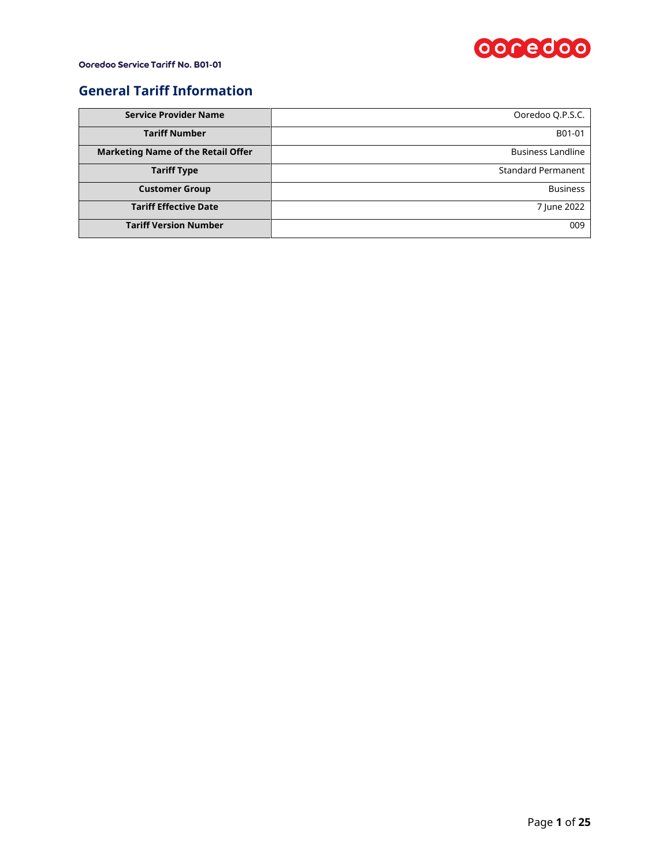

### **General Tariff Information**

| <b>Service Provider Name</b>              | Ooredoo Q.P.S.C.          |
|-------------------------------------------|---------------------------|
| <b>Tariff Number</b>                      | B01-01                    |
| <b>Marketing Name of the Retail Offer</b> | <b>Business Landline</b>  |
| <b>Tariff Type</b>                        | <b>Standard Permanent</b> |
| <b>Customer Group</b>                     | <b>Business</b>           |
| <b>Tariff Effective Date</b>              | 7 June 2022               |
| <b>Tariff Version Number</b>              | 009                       |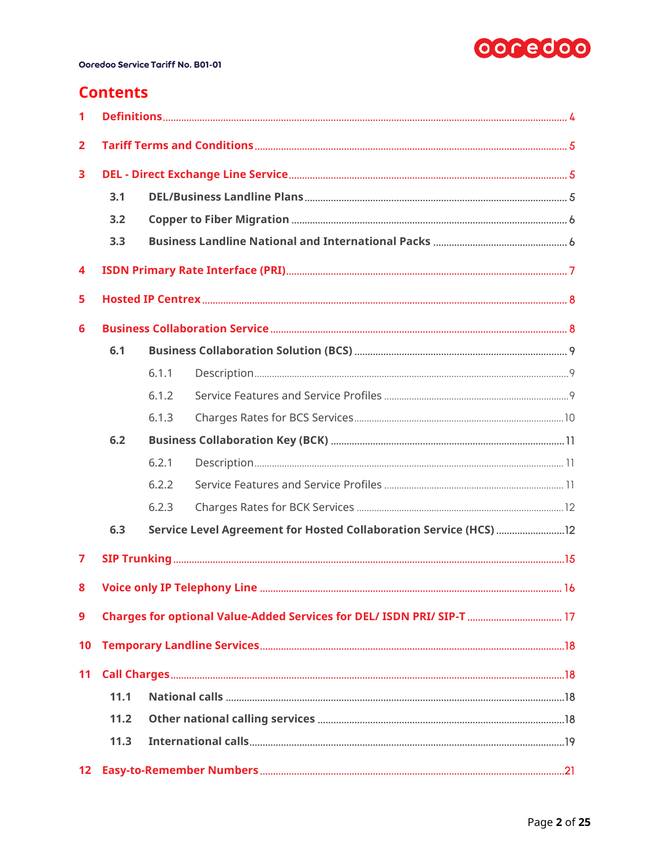

## **Contents**

| 1               |      |       |  |  |  |  |  |  |
|-----------------|------|-------|--|--|--|--|--|--|
| $\overline{2}$  |      |       |  |  |  |  |  |  |
| 3               |      |       |  |  |  |  |  |  |
|                 | 3.1  |       |  |  |  |  |  |  |
|                 | 3.2  |       |  |  |  |  |  |  |
|                 | 3.3  |       |  |  |  |  |  |  |
| 4               |      |       |  |  |  |  |  |  |
| 5               |      |       |  |  |  |  |  |  |
| 6               |      |       |  |  |  |  |  |  |
|                 | 6.1  |       |  |  |  |  |  |  |
|                 |      | 6.1.1 |  |  |  |  |  |  |
|                 |      | 6.1.2 |  |  |  |  |  |  |
|                 |      | 6.1.3 |  |  |  |  |  |  |
|                 | 6.2  |       |  |  |  |  |  |  |
|                 |      | 6.2.1 |  |  |  |  |  |  |
|                 |      | 6.2.2 |  |  |  |  |  |  |
|                 |      | 6.2.3 |  |  |  |  |  |  |
|                 | 6.3  |       |  |  |  |  |  |  |
| 7               |      |       |  |  |  |  |  |  |
| 8               |      |       |  |  |  |  |  |  |
| 9               |      |       |  |  |  |  |  |  |
| 10              |      |       |  |  |  |  |  |  |
| 11              |      |       |  |  |  |  |  |  |
|                 | 11.1 |       |  |  |  |  |  |  |
|                 | 11.2 |       |  |  |  |  |  |  |
|                 | 11.3 |       |  |  |  |  |  |  |
| 12 <sup>°</sup> |      |       |  |  |  |  |  |  |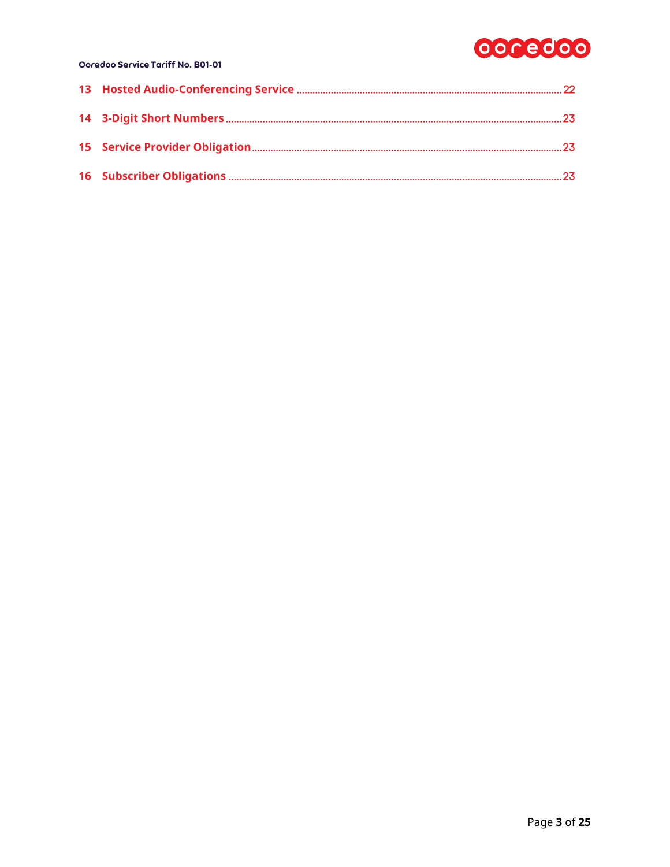# 0000000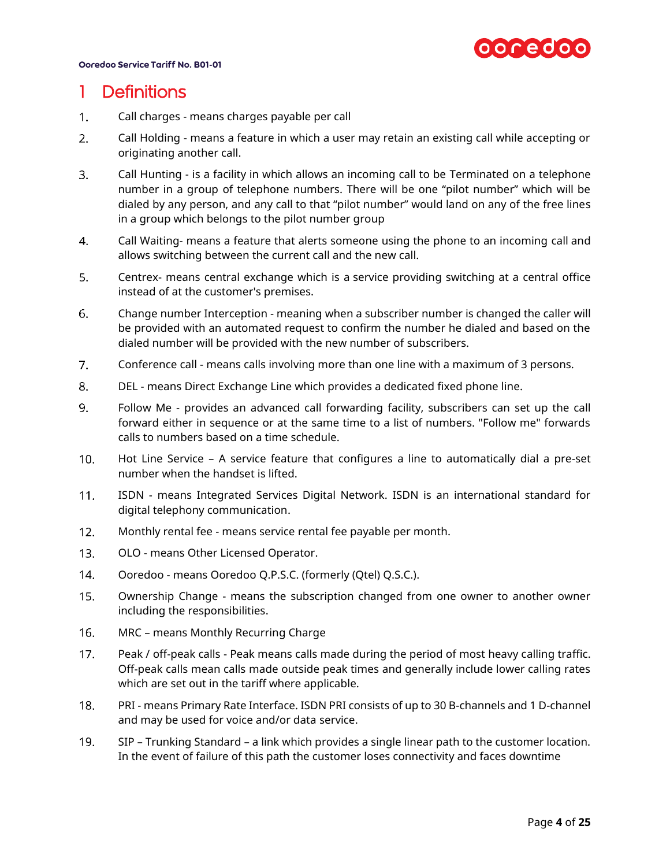

## <span id="page-3-0"></span>1 Definitions

- $1<sub>1</sub>$ Call charges - means charges payable per call
- $2.$ Call Holding - means a feature in which a user may retain an existing call while accepting or originating another call.
- $3<sub>1</sub>$ Call Hunting - is a facility in which allows an incoming call to be Terminated on a telephone number in a group of telephone numbers. There will be one "pilot number" which will be dialed by any person, and any call to that "pilot number" would land on any of the free lines in a group which belongs to the pilot number group
- Call Waiting- means a feature that alerts someone using the phone to an incoming call and 4. allows switching between the current call and the new call.
- 5. Centrex- means central exchange which is a service providing switching at a central office instead of at the customer's premises.
- 6. Change number Interception - meaning when a subscriber number is changed the caller will be provided with an automated request to confirm the number he dialed and based on the dialed number will be provided with the new number of subscribers.
- $7.$ Conference call - means calls involving more than one line with a maximum of 3 persons.
- 8. DEL - means Direct Exchange Line which provides a dedicated fixed phone line.
- Follow Me provides an advanced call forwarding facility, subscribers can set up the call  $9<sub>1</sub>$ forward either in sequence or at the same time to a list of numbers. "Follow me" forwards calls to numbers based on a time schedule.
- $10.$ Hot Line Service – A service feature that configures a line to automatically dial a pre-set number when the handset is lifted.
- ISDN means Integrated Services Digital Network. ISDN is an international standard for  $11.$ digital telephony communication.
- $12.$ Monthly rental fee - means service rental fee payable per month.
- $13.$ OLO - means Other Licensed Operator.
- $14.$ Ooredoo - means Ooredoo Q.P.S.C. (formerly (Qtel) Q.S.C.).
- $15.$ Ownership Change - means the subscription changed from one owner to another owner including the responsibilities.
- $16.$ MRC – means Monthly Recurring Charge
- $17.$ Peak / off-peak calls - Peak means calls made during the period of most heavy calling traffic. Off-peak calls mean calls made outside peak times and generally include lower calling rates which are set out in the tariff where applicable.
- $18.$ PRI - means Primary Rate Interface. ISDN PRI consists of up to 30 B-channels and 1 D-channel and may be used for voice and/or data service.
- 19. SIP – Trunking Standard – a link which provides a single linear path to the customer location. In the event of failure of this path the customer loses connectivity and faces downtime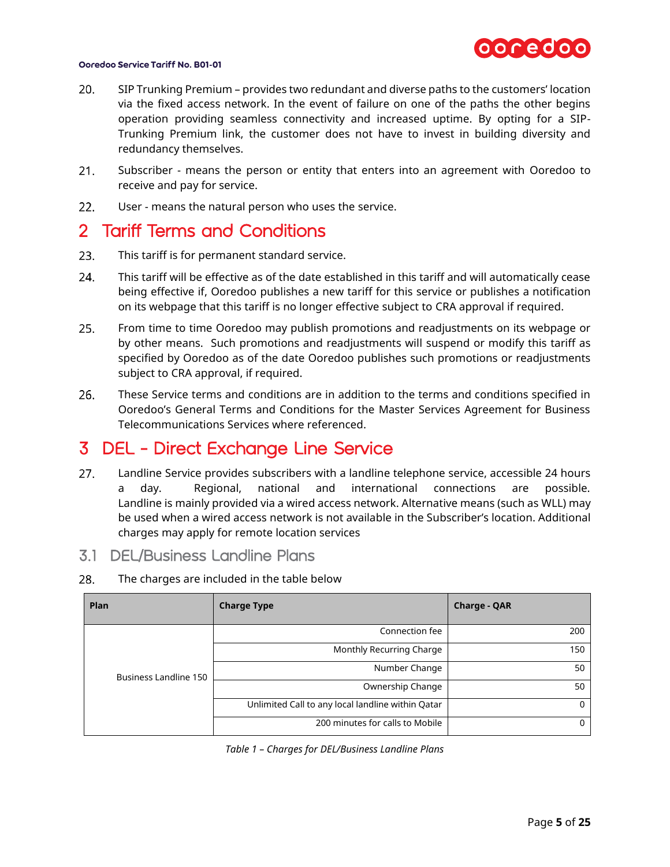

- $20.$ SIP Trunking Premium – provides two redundant and diverse paths to the customers' location via the fixed access network. In the event of failure on one of the paths the other begins operation providing seamless connectivity and increased uptime. By opting for a SIP-Trunking Premium link, the customer does not have to invest in building diversity and redundancy themselves.
- $21.$ Subscriber - means the person or entity that enters into an agreement with Ooredoo to receive and pay for service.
- $22.$ User - means the natural person who uses the service.

### <span id="page-4-0"></span>2 Tariff Terms and Conditions

- 23. This tariff is for permanent standard service.
- 24. This tariff will be effective as of the date established in this tariff and will automatically cease being effective if, Ooredoo publishes a new tariff for this service or publishes a notification on its webpage that this tariff is no longer effective subject to CRA approval if required.
- $25.$ From time to time Ooredoo may publish promotions and readjustments on its webpage or by other means. Such promotions and readjustments will suspend or modify this tariff as specified by Ooredoo as of the date Ooredoo publishes such promotions or readjustments subject to CRA approval, if required.
- 26. These Service terms and conditions are in addition to the terms and conditions specified in Ooredoo's General Terms and Conditions for the Master Services Agreement for Business Telecommunications Services where referenced.

## <span id="page-4-1"></span>3 DEL - Direct Exchange Line Service

- $27.$ Landline Service provides subscribers with a landline telephone service, accessible 24 hours a day. Regional, national and international connections are possible. Landline is mainly provided via a wired access network. Alternative means (such as WLL) may be used when a wired access network is not available in the Subscriber's location. Additional charges may apply for remote location services
- <span id="page-4-2"></span>3.1 DEL/Business Landline Plans
- 28. The charges are included in the table below

| Plan                  | <b>Charge Type</b>                                | <b>Charge - QAR</b> |
|-----------------------|---------------------------------------------------|---------------------|
|                       | Connection fee                                    | 200                 |
| Business Landline 150 | Monthly Recurring Charge                          | 150                 |
|                       | Number Change                                     | 50                  |
|                       | Ownership Change                                  | 50                  |
|                       | Unlimited Call to any local landline within Qatar |                     |
|                       | 200 minutes for calls to Mobile                   |                     |

*Table 1 – Charges for DEL/Business Landline Plans*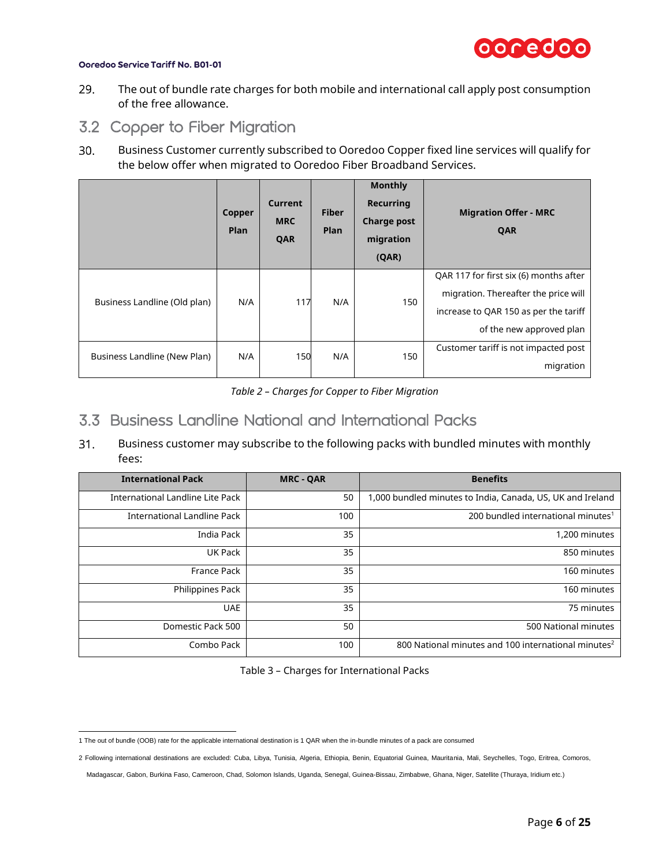

- 29. The out of bundle rate charges for both mobile and international call apply post consumption of the free allowance.
- <span id="page-5-0"></span>3.2 Copper to Fiber Migration
- $30.$ Business Customer currently subscribed to Ooredoo Copper fixed line services will qualify for the below offer when migrated to Ooredoo Fiber Broadband Services.

|                              | Copper<br><b>Plan</b> | Current<br><b>MRC</b><br>QAR | <b>Fiber</b><br>Plan | <b>Monthly</b><br><b>Recurring</b><br><b>Charge post</b><br>migration<br>(QAR) | <b>Migration Offer - MRC</b><br>QAR                                                                                                                 |
|------------------------------|-----------------------|------------------------------|----------------------|--------------------------------------------------------------------------------|-----------------------------------------------------------------------------------------------------------------------------------------------------|
| Business Landline (Old plan) | N/A                   | 117                          | N/A                  | 150                                                                            | QAR 117 for first six (6) months after<br>migration. Thereafter the price will<br>increase to QAR 150 as per the tariff<br>of the new approved plan |
| Business Landline (New Plan) | N/A                   | 150                          | N/A                  | 150                                                                            | Customer tariff is not impacted post<br>migration                                                                                                   |

*Table 2 – Charges for Copper to Fiber Migration*

### <span id="page-5-1"></span>3.3 Business Landline National and International Packs

 $31.$ Business customer may subscribe to the following packs with bundled minutes with monthly fees:

| <b>International Pack</b>        | <b>MRC - QAR</b> | <b>Benefits</b>                                                 |
|----------------------------------|------------------|-----------------------------------------------------------------|
| International Landline Lite Pack | 50               | 1,000 bundled minutes to India, Canada, US, UK and Ireland      |
| International Landline Pack      | 100              | 200 bundled international minutes <sup>1</sup>                  |
| India Pack                       | 35               | 1,200 minutes                                                   |
| UK Pack                          | 35               | 850 minutes                                                     |
| France Pack                      | 35               | 160 minutes                                                     |
| Philippines Pack                 | 35               | 160 minutes                                                     |
| <b>UAE</b>                       | 35               | 75 minutes                                                      |
| Domestic Pack 500                | 50               | 500 National minutes                                            |
| Combo Pack                       | 100              | 800 National minutes and 100 international minutes <sup>2</sup> |

Table 3 – Charges for International Packs

 1 The out of bundle (OOB) rate for the applicable international destination is 1 QAR when the in-bundle minutes of a pack are consumed

<sup>2</sup> Following international destinations are excluded: Cuba, Libya, Tunisia, Algeria, Ethiopia, Benin, Equatorial Guinea, Mauritania, Mali, Seychelles, Togo, Eritrea, Comoros,

Madagascar, Gabon, Burkina Faso, Cameroon, Chad, Solomon Islands, Uganda, Senegal, Guinea-Bissau, Zimbabwe, Ghana, Niger, Satellite (Thuraya, Iridium etc.)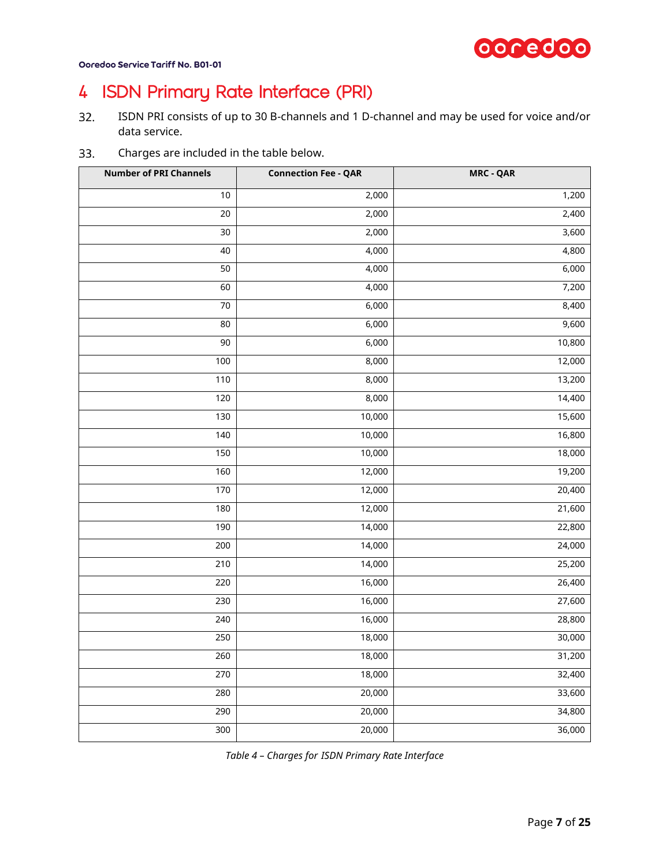

# <span id="page-6-0"></span>ISDN Primary Rate Interface (PRI)

- ISDN PRI consists of up to 30 B-channels and 1 D-channel and may be used for voice and/or  $32.$ data service.
- Charges are included in the table below. 33.

| <b>Number of PRI Channels</b> | <b>Connection Fee - QAR</b> | <b>MRC - QAR</b>    |
|-------------------------------|-----------------------------|---------------------|
| $10$                          | 2,000                       | 1,200               |
| 20                            | 2,000                       | 2,400               |
| $30$                          | $\overline{2,000}$          | 3,600               |
| 40                            | 4,000                       | 4,800               |
| 50                            | 4,000                       | 6,000               |
| 60                            | 4,000                       | 7,200               |
| $70\,$                        | 6,000                       | 8,400               |
| 80                            | 6,000                       | 9,600               |
| 90                            | 6,000                       | 10,800              |
| $100\,$                       | 8,000                       | 12,000              |
| 110                           | 8,000                       | 13,200              |
| 120                           | 8,000                       | 14,400              |
| 130                           | 10,000                      | 15,600              |
| 140                           | 10,000                      | 16,800              |
| 150                           | 10,000                      | 18,000              |
| 160                           | 12,000                      | 19,200              |
| 170                           | 12,000                      | 20,400              |
| 180                           | 12,000                      | 21,600              |
| 190                           | 14,000                      | 22,800              |
| 200                           | 14,000                      | 24,000              |
| 210                           | 14,000                      | 25,200              |
| 220                           | 16,000                      | $\overline{26,400}$ |
| 230                           | 16,000                      | 27,600              |
| 240                           | 16,000                      | 28,800              |
| 250                           | 18,000                      | 30,000              |
| 260                           | 18,000                      | 31,200              |
| 270                           | 18,000                      | 32,400              |
| 280                           | 20,000                      | 33,600              |
| 290                           | 20,000                      | 34,800              |
| 300                           | 20,000                      | 36,000              |

*Table 4 – Charges for ISDN Primary Rate Interface*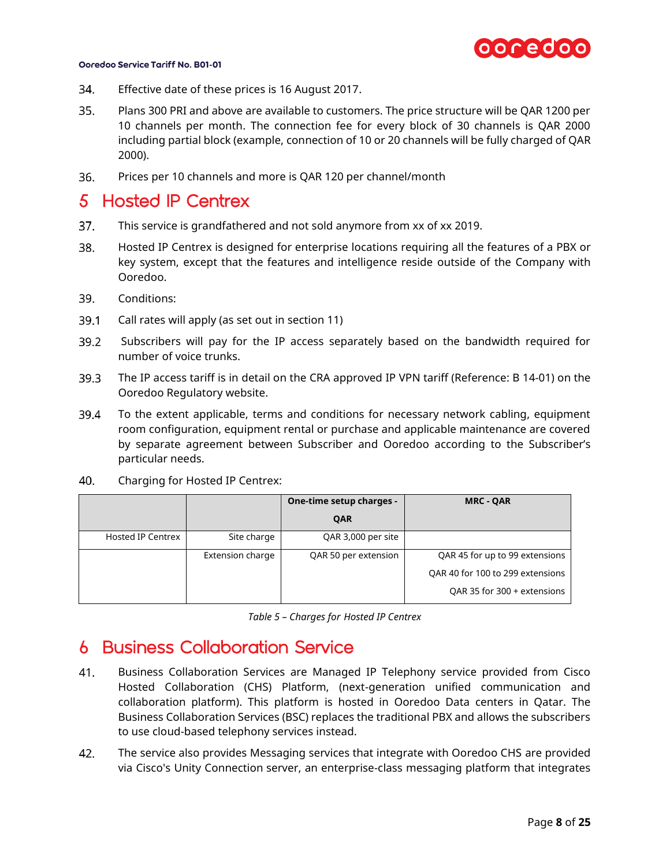

- 34. Effective date of these prices is 16 August 2017.
- $35.$ Plans 300 PRI and above are available to customers. The price structure will be QAR 1200 per 10 channels per month. The connection fee for every block of 30 channels is QAR 2000 including partial block (example, connection of 10 or 20 channels will be fully charged of QAR 2000).
- 36. Prices per 10 channels and more is QAR 120 per channel/month

## <span id="page-7-0"></span>5 Hosted IP Centrex

- $37<sub>1</sub>$ This service is grandfathered and not sold anymore from xx of xx 2019.
- 38. Hosted IP Centrex is designed for enterprise locations requiring all the features of a PBX or key system, except that the features and intelligence reside outside of the Company with Ooredoo.
- 39. Conditions:
- $39.1$ Call rates will apply (as set out in section [11\)](#page-17-1)
- $39.2$ Subscribers will pay for the IP access separately based on the bandwidth required for number of voice trunks.
- 39.3 The IP access tariff is in detail on the CRA approved IP VPN tariff (Reference: B 14-01) on the Ooredoo Regulatory website.
- 39.4 To the extent applicable, terms and conditions for necessary network cabling, equipment room configuration, equipment rental or purchase and applicable maintenance are covered by separate agreement between Subscriber and Ooredoo according to the Subscriber's particular needs.
- 40. Charging for Hosted IP Centrex:

|                          |                  | One-time setup charges - | <b>MRC - QAR</b>                 |
|--------------------------|------------------|--------------------------|----------------------------------|
|                          |                  | QAR                      |                                  |
| <b>Hosted IP Centrex</b> | Site charge      | QAR 3,000 per site       |                                  |
|                          | Extension charge | QAR 50 per extension     | QAR 45 for up to 99 extensions   |
|                          |                  |                          | QAR 40 for 100 to 299 extensions |
|                          |                  |                          | QAR 35 for 300 + extensions      |

*Table 5 – Charges for Hosted IP Centrex*

## <span id="page-7-1"></span>6 Business Collaboration Service

- 41. Business Collaboration Services are Managed IP Telephony service provided from Cisco Hosted Collaboration (CHS) Platform, (next-generation unified communication and collaboration platform). This platform is hosted in Ooredoo Data centers in Qatar. The Business Collaboration Services (BSC) replaces the traditional PBX and allows the subscribers to use cloud-based telephony services instead.
- 42. The service also provides Messaging services that integrate with Ooredoo CHS are provided via Cisco's Unity Connection server, an enterprise-class messaging platform that integrates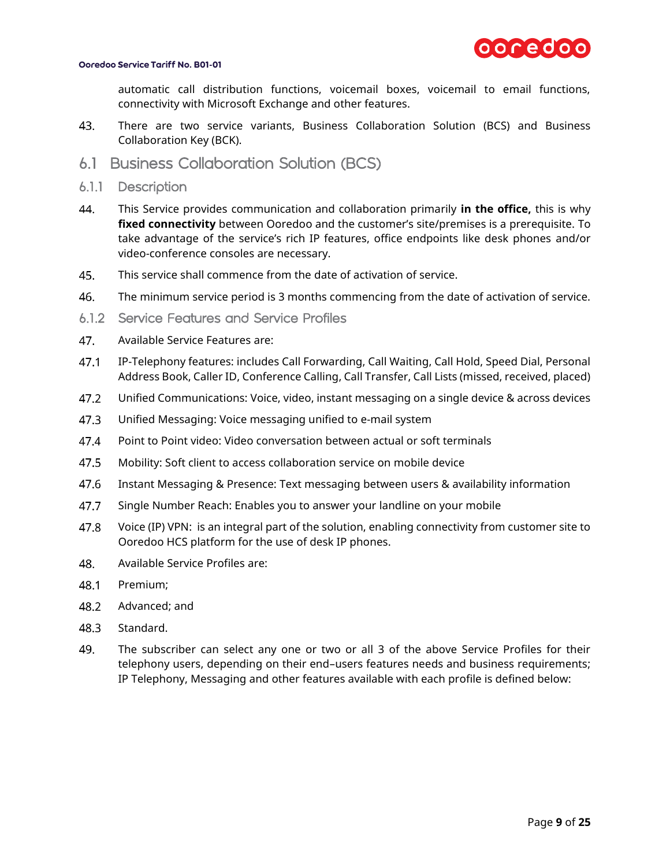

automatic call distribution functions, voicemail boxes, voicemail to email functions, connectivity with Microsoft Exchange and other features.

- 43. There are two service variants, Business Collaboration Solution (BCS) and Business Collaboration Key (BCK).
- <span id="page-8-0"></span>6.1 Business Collaboration Solution (BCS)
- <span id="page-8-1"></span>6.1.1 Description
- 44. This Service provides communication and collaboration primarily **in the office,** this is why **fixed connectivity** between Ooredoo and the customer's site/premises is a prerequisite. To take advantage of the service's rich IP features, office endpoints like desk phones and/or video-conference consoles are necessary.
- 45. This service shall commence from the date of activation of service.
- 46. The minimum service period is 3 months commencing from the date of activation of service.
- <span id="page-8-2"></span>6.1.2 Service Features and Service Profiles
- 47. Available Service Features are:
- $47.1$ IP-Telephony features: includes Call Forwarding, Call Waiting, Call Hold, Speed Dial, Personal Address Book, Caller ID, Conference Calling, Call Transfer, Call Lists (missed, received, placed)
- 47.2 Unified Communications: Voice, video, instant messaging on a single device & across devices
- $47.3$ Unified Messaging: Voice messaging unified to e-mail system
- 47.4 Point to Point video: Video conversation between actual or soft terminals
- 47.5 Mobility: Soft client to access collaboration service on mobile device
- 47.6 Instant Messaging & Presence: Text messaging between users & availability information
- 47.7 Single Number Reach: Enables you to answer your landline on your mobile
- 47.8 Voice (IP) VPN: is an integral part of the solution, enabling connectivity from customer site to Ooredoo HCS platform for the use of desk IP phones.
- 48. Available Service Profiles are:
- 48.1 Premium;
- 48.2 Advanced; and
- 48.3 Standard.
- 49. The subscriber can select any one or two or all 3 of the above Service Profiles for their telephony users, depending on their end–users features needs and business requirements; IP Telephony, Messaging and other features available with each profile is defined below: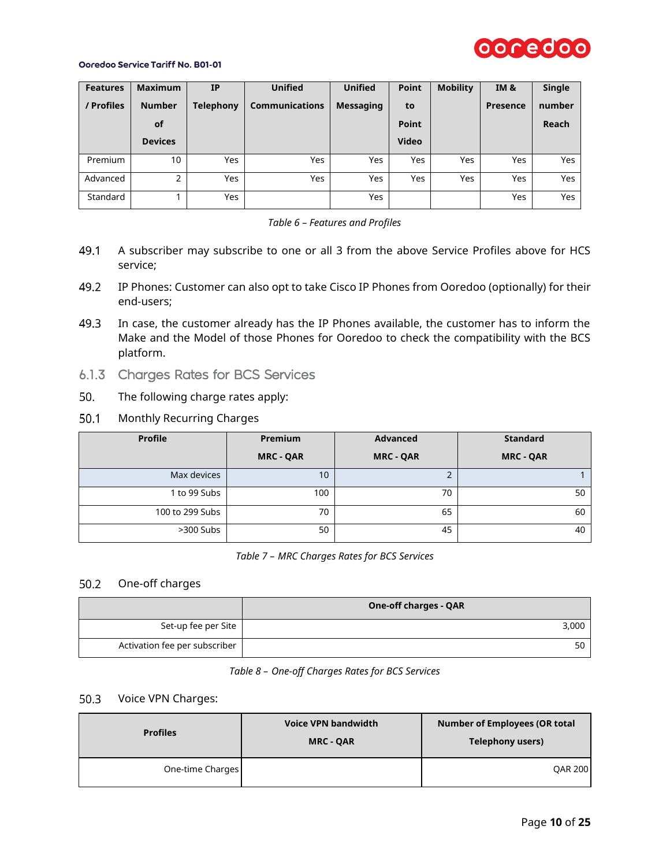

| <b>Features</b> | <b>Maximum</b> | <b>IP</b>        | <b>Unified</b>        | <b>Unified</b>   | <b>Point</b> | <b>Mobility</b> | <b>IM &amp;</b> | Single |
|-----------------|----------------|------------------|-----------------------|------------------|--------------|-----------------|-----------------|--------|
| / Profiles      | <b>Number</b>  | <b>Telephony</b> | <b>Communications</b> | <b>Messaging</b> | to           |                 | <b>Presence</b> | number |
|                 | <b>of</b>      |                  |                       |                  | <b>Point</b> |                 |                 | Reach  |
|                 | <b>Devices</b> |                  |                       |                  | <b>Video</b> |                 |                 |        |
| Premium         | 10             | Yes              | Yes                   | Yes              | <b>Yes</b>   | Yes             | <b>Yes</b>      | Yes    |
| Advanced        | 2              | Yes              | Yes                   | Yes              | <b>Yes</b>   | Yes             | <b>Yes</b>      | Yes    |
| Standard        |                | Yes              |                       | Yes              |              |                 | <b>Yes</b>      | Yes    |



- 49.1 A subscriber may subscribe to one or all 3 from the above Service Profiles above for HCS service;
- 49.2 IP Phones: Customer can also opt to take Cisco IP Phones from Ooredoo (optionally) for their end-users;
- In case, the customer already has the IP Phones available, the customer has to inform the 49.3 Make and the Model of those Phones for Ooredoo to check the compatibility with the BCS platform.
- <span id="page-9-0"></span>6.1.3 Charges Rates for BCS Services
- 50. The following charge rates apply:
- $50.1$ Monthly Recurring Charges

| <b>Profile</b>  | Premium          | Advanced         | <b>Standard</b>  |
|-----------------|------------------|------------------|------------------|
|                 | <b>MRC - QAR</b> | <b>MRC - QAR</b> | <b>MRC - QAR</b> |
| Max devices     | 10 <sup>°</sup>  |                  |                  |
| 1 to 99 Subs    | 100              | 70               | 50               |
| 100 to 299 Subs | 70               | 65               | 60               |
| $>300$ Subs     | 50               | 45               | 40               |

*Table 7 – MRC Charges Rates for BCS Services*

### 50.2 One-off charges

|                               | <b>One-off charges - QAR</b> |
|-------------------------------|------------------------------|
| Set-up fee per Site           | 3,000                        |
| Activation fee per subscriber | 50                           |

*Table 8 – One-off Charges Rates for BCS Services*

### 50.3 Voice VPN Charges:

| <b>Profiles</b>  | <b>Voice VPN bandwidth</b><br><b>MRC - QAR</b> | <b>Number of Employees (OR total</b><br>Telephony users) |
|------------------|------------------------------------------------|----------------------------------------------------------|
| One-time Charges |                                                | <b>QAR 200</b>                                           |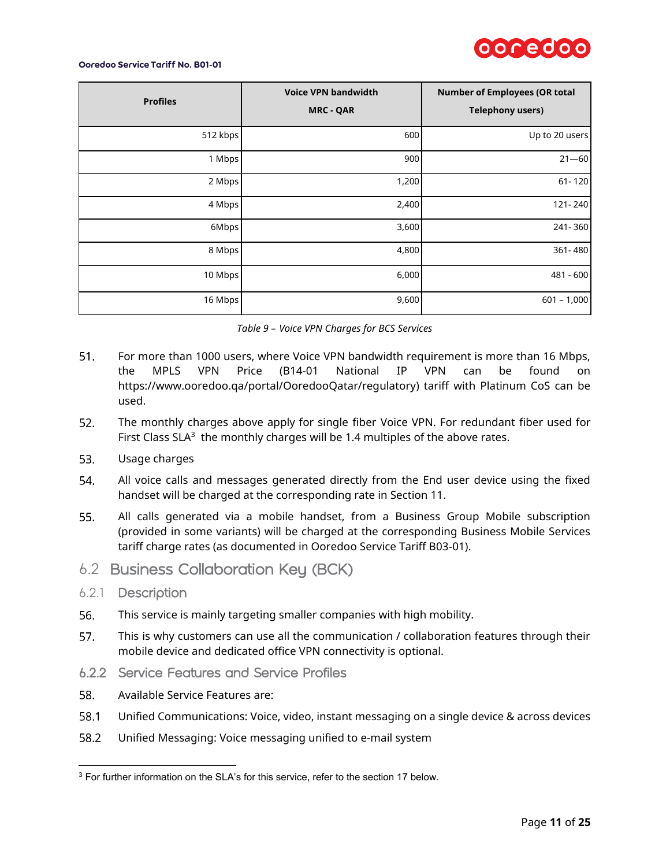

| <b>Profiles</b> | <b>Voice VPN bandwidth</b><br><b>MRC - QAR</b> | <b>Number of Employees (OR total</b><br><b>Telephony users)</b> |
|-----------------|------------------------------------------------|-----------------------------------------------------------------|
| 512 kbps        | 600                                            | Up to 20 users                                                  |
| 1 Mbps          | 900                                            | $21 - 60$                                                       |
| 2 Mbps          | 1,200                                          | 61-120                                                          |
| 4 Mbps          | 2,400                                          | 121-240                                                         |
| 6Mbps           | 3,600                                          | 241-360                                                         |
| 8 Mbps          | 4,800                                          | 361-480                                                         |
| 10 Mbps         | 6,000                                          | 481 - 600                                                       |
| 16 Mbps         | 9,600                                          | $601 - 1,000$                                                   |

|  |  | Table 9 - Voice VPN Charges for BCS Services |  |  |  |
|--|--|----------------------------------------------|--|--|--|
|--|--|----------------------------------------------|--|--|--|

- 51. For more than 1000 users, where Voice VPN bandwidth requirement is more than 16 Mbps, the MPLS VPN Price (B14-01 National IP VPN can be found on [https://www.ooredoo.qa/portal/OoredooQatar/regulatory\)](https://www.ooredoo.qa/portal/OoredooQatar/regulatory) tariff with Platinum CoS can be used.
- $52.$ The monthly charges above apply for single fiber Voice VPN. For redundant fiber used for First Class SLA $3$  the monthly charges will be 1.4 multiples of the above rates.
- 53. Usage charges
- 54. All voice calls and messages generated directly from the End user device using the fixed handset will be charged at the corresponding rate in Section 11.
- 55. All calls generated via a mobile handset, from a Business Group Mobile subscription (provided in some variants) will be charged at the corresponding Business Mobile Services tariff charge rates (as documented in Ooredoo Service Tariff B03-01).
- <span id="page-10-0"></span>6.2 Business Collaboration Key (BCK)
- <span id="page-10-1"></span>6.2.1 Description

 $\overline{a}$ 

- 56. This service is mainly targeting smaller companies with high mobility.
- 57. This is why customers can use all the communication / collaboration features through their mobile device and dedicated office VPN connectivity is optional.
- <span id="page-10-2"></span>6.2.2 Service Features and Service Profiles
- 58. Available Service Features are:
- 58.1 Unified Communications: Voice, video, instant messaging on a single device & across devices
- 58.2 Unified Messaging: Voice messaging unified to e-mail system

<sup>&</sup>lt;sup>3</sup> For further information on the SLA's for this service, refer to the section 17 below.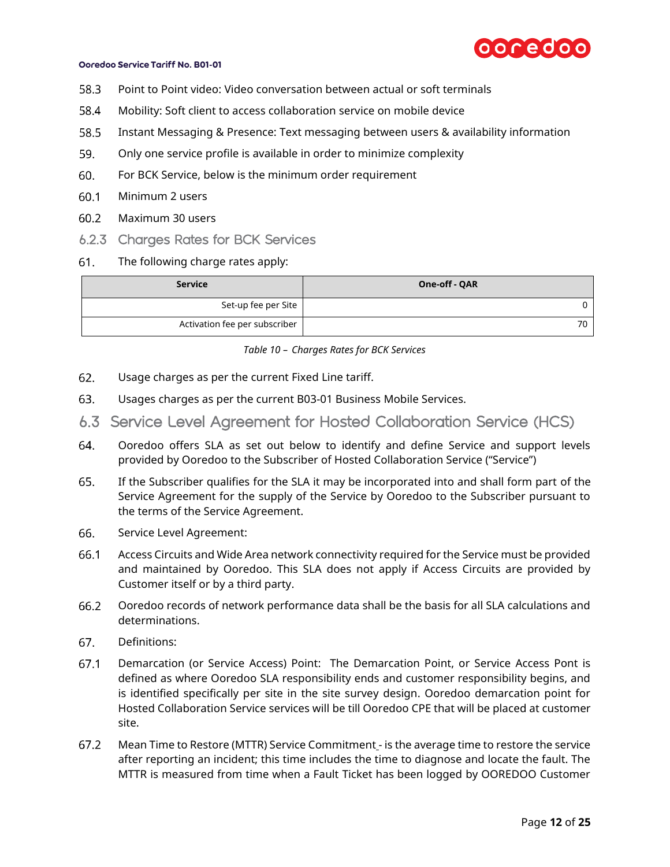

- 58.3 Point to Point video: Video conversation between actual or soft terminals
- 58.4 Mobility: Soft client to access collaboration service on mobile device
- 58.5 Instant Messaging & Presence: Text messaging between users & availability information
- 59. Only one service profile is available in order to minimize complexity
- 60. For BCK Service, below is the minimum order requirement
- $60.1$ Minimum 2 users
- $60.2$ Maximum 30 users
- <span id="page-11-0"></span>6.2.3 Charges Rates for BCK Services
- 61. The following charge rates apply:

| <b>Service</b>                | One-off - QAR |
|-------------------------------|---------------|
| Set-up fee per Site           |               |
| Activation fee per subscriber | 70            |

*Table 10 – Charges Rates for BCK Services*

- 62. Usage charges as per the current Fixed Line tariff.
- 63. Usages charges as per the current B03-01 Business Mobile Services.
- <span id="page-11-1"></span>6.3 Service Level Agreement for Hosted Collaboration Service (HCS)
- 64. Ooredoo offers SLA as set out below to identify and define Service and support levels provided by Ooredoo to the Subscriber of Hosted Collaboration Service ("Service")
- 65. If the Subscriber qualifies for the SLA it may be incorporated into and shall form part of the Service Agreement for the supply of the Service by Ooredoo to the Subscriber pursuant to the terms of the Service Agreement.
- 66. Service Level Agreement:
- 66.1 Access Circuits and Wide Area network connectivity required for the Service must be provided and maintained by Ooredoo. This SLA does not apply if Access Circuits are provided by Customer itself or by a third party.
- 66.2 Ooredoo records of network performance data shall be the basis for all SLA calculations and determinations.
- 67. Definitions:
- $67.1$ Demarcation (or Service Access) Point: The Demarcation Point, or Service Access Pont is defined as where Ooredoo SLA responsibility ends and customer responsibility begins, and is identified specifically per site in the site survey design. Ooredoo demarcation point for Hosted Collaboration Service services will be till Ooredoo CPE that will be placed at customer site.
- $67.2$ Mean Time to Restore (MTTR) Service Commitment - is the average time to restore the service after reporting an incident; this time includes the time to diagnose and locate the fault. The MTTR is measured from time when a Fault Ticket has been logged by OOREDOO Customer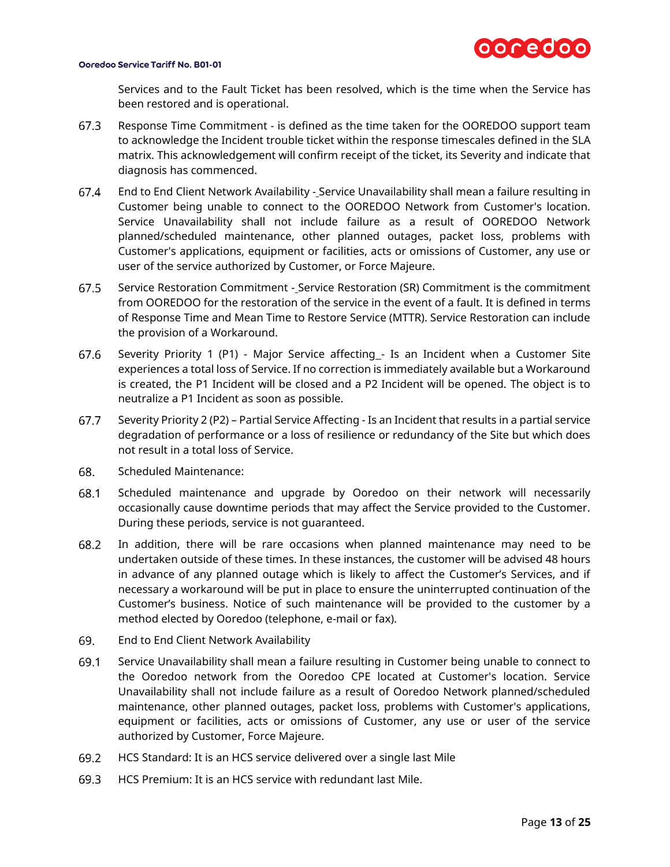

Services and to the Fault Ticket has been resolved, which is the time when the Service has been restored and is operational.

- 67.3 Response Time Commitment - is defined as the time taken for the OOREDOO support team to acknowledge the Incident trouble ticket within the response timescales defined in the SLA matrix. This acknowledgement will confirm receipt of the ticket, its Severity and indicate that diagnosis has commenced.
- 67.4 End to End Client Network Availability - Service Unavailability shall mean a failure resulting in Customer being unable to connect to the OOREDOO Network from Customer's location. Service Unavailability shall not include failure as a result of OOREDOO Network planned/scheduled maintenance, other planned outages, packet loss, problems with Customer's applications, equipment or facilities, acts or omissions of Customer, any use or user of the service authorized by Customer, or Force Majeure.
- $67.5$ Service Restoration Commitment - Service Restoration (SR) Commitment is the commitment from OOREDOO for the restoration of the service in the event of a fault. It is defined in terms of Response Time and Mean Time to Restore Service (MTTR). Service Restoration can include the provision of a Workaround.
- 67.6 Severity Priority 1 (P1) - Major Service affecting - Is an Incident when a Customer Site experiences a total loss of Service. If no correction is immediately available but a Workaround is created, the P1 Incident will be closed and a P2 Incident will be opened. The object is to neutralize a P1 Incident as soon as possible.
- 67.7 Severity Priority 2 (P2) – Partial Service Affecting - Is an Incident that results in a partial service degradation of performance or a loss of resilience or redundancy of the Site but which does not result in a total loss of Service.
- 68. Scheduled Maintenance:
- Scheduled maintenance and upgrade by Ooredoo on their network will necessarily 68.1 occasionally cause downtime periods that may affect the Service provided to the Customer. During these periods, service is not guaranteed.
- 68.2 In addition, there will be rare occasions when planned maintenance may need to be undertaken outside of these times. In these instances, the customer will be advised 48 hours in advance of any planned outage which is likely to affect the Customer's Services, and if necessary a workaround will be put in place to ensure the uninterrupted continuation of the Customer's business. Notice of such maintenance will be provided to the customer by a method elected by Ooredoo (telephone, e-mail or fax).
- 69. End to End Client Network Availability
- 69.1 Service Unavailability shall mean a failure resulting in Customer being unable to connect to the Ooredoo network from the Ooredoo CPE located at Customer's location. Service Unavailability shall not include failure as a result of Ooredoo Network planned/scheduled maintenance, other planned outages, packet loss, problems with Customer's applications, equipment or facilities, acts or omissions of Customer, any use or user of the service authorized by Customer, Force Majeure.
- 69.2 HCS Standard: It is an HCS service delivered over a single last Mile
- 69.3 HCS Premium: It is an HCS service with redundant last Mile.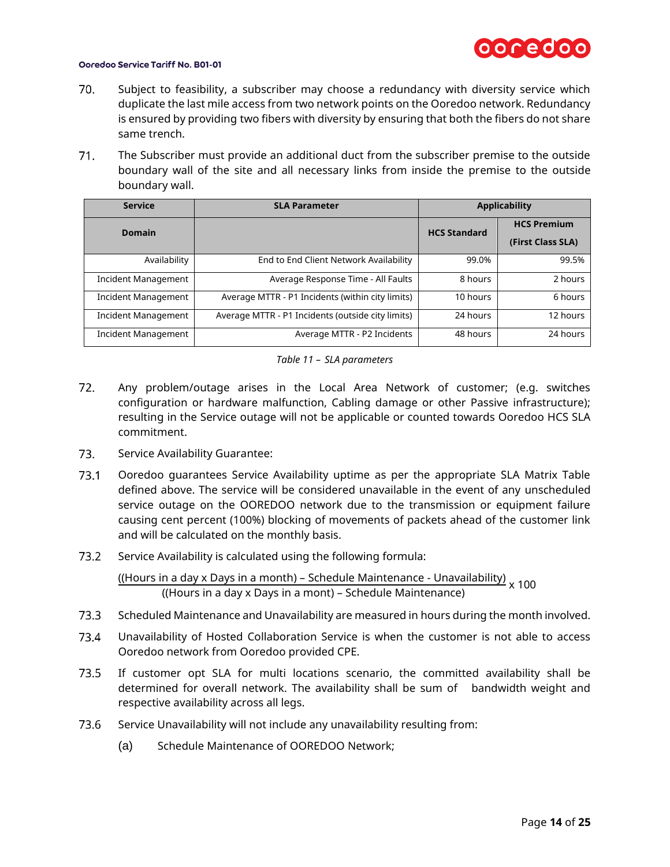

- $70.$ Subject to feasibility, a subscriber may choose a redundancy with diversity service which duplicate the last mile access from two network points on the Ooredoo network. Redundancy is ensured by providing two fibers with diversity by ensuring that both the fibers do not share same trench.
- $71.$ The Subscriber must provide an additional duct from the subscriber premise to the outside boundary wall of the site and all necessary links from inside the premise to the outside boundary wall.

| <b>Service</b>             | <b>SLA Parameter</b>                              |                     | <b>Applicability</b>                    |
|----------------------------|---------------------------------------------------|---------------------|-----------------------------------------|
| <b>Domain</b>              |                                                   | <b>HCS Standard</b> | <b>HCS Premium</b><br>(First Class SLA) |
| Availability               | End to End Client Network Availability            | 99.0%               | 99.5%                                   |
| Incident Management        | Average Response Time - All Faults                | 8 hours             | 2 hours                                 |
| <b>Incident Management</b> | Average MTTR - P1 Incidents (within city limits)  | 10 hours            | 6 hours                                 |
| <b>Incident Management</b> | Average MTTR - P1 Incidents (outside city limits) | 24 hours            | 12 hours                                |
| <b>Incident Management</b> | Average MTTR - P2 Incidents                       | 48 hours            | 24 hours                                |



- $72.$ Any problem/outage arises in the Local Area Network of customer; (e.g. switches configuration or hardware malfunction, Cabling damage or other Passive infrastructure); resulting in the Service outage will not be applicable or counted towards Ooredoo HCS SLA commitment.
- 73. Service Availability Guarantee:
- $73.1$ Ooredoo guarantees Service Availability uptime as per the appropriate SLA Matrix Table defined above. The service will be considered unavailable in the event of any unscheduled service outage on the OOREDOO network due to the transmission or equipment failure causing cent percent (100%) blocking of movements of packets ahead of the customer link and will be calculated on the monthly basis.
- $73.2$ Service Availability is calculated using the following formula:

((Hours in a day x Days in a month) – Schedule Maintenance - Unavailability) x 100 ((Hours in a day x Days in a mont) – Schedule Maintenance)

- $73.3$ Scheduled Maintenance and Unavailability are measured in hours during the month involved.
- 73.4 Unavailability of Hosted Collaboration Service is when the customer is not able to access Ooredoo network from Ooredoo provided CPE.
- 73.5 If customer opt SLA for multi locations scenario, the committed availability shall be determined for overall network. The availability shall be sum of bandwidth weight and respective availability across all legs.
- 73.6 Service Unavailability will not include any unavailability resulting from:
	- (a) Schedule Maintenance of OOREDOO Network;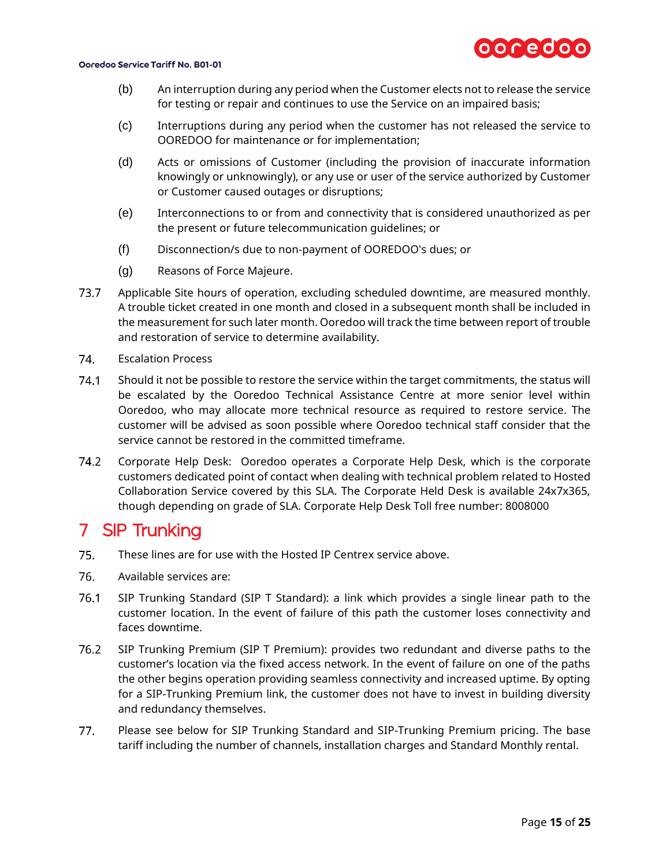

- (b) An interruption during any period when the Customer elects not to release the service for testing or repair and continues to use the Service on an impaired basis;
- (c) Interruptions during any period when the customer has not released the service to OOREDOO for maintenance or for implementation;
- (d) Acts or omissions of Customer (including the provision of inaccurate information knowingly or unknowingly), or any use or user of the service authorized by Customer or Customer caused outages or disruptions;
- (e) Interconnections to or from and connectivity that is considered unauthorized as per the present or future telecommunication guidelines; or
- (f) Disconnection/s due to non-payment of OOREDOO's dues; or
- (g) Reasons of Force Majeure.
- 73.7 Applicable Site hours of operation, excluding scheduled downtime, are measured monthly. A trouble ticket created in one month and closed in a subsequent month shall be included in the measurement for such later month. Ooredoo will track the time between report of trouble and restoration of service to determine availability.
- 74. Escalation Process
- 74.1 Should it not be possible to restore the service within the target commitments, the status will be escalated by the Ooredoo Technical Assistance Centre at more senior level within Ooredoo, who may allocate more technical resource as required to restore service. The customer will be advised as soon possible where Ooredoo technical staff consider that the service cannot be restored in the committed timeframe.
- 74.2 Corporate Help Desk: Ooredoo operates a Corporate Help Desk, which is the corporate customers dedicated point of contact when dealing with technical problem related to Hosted Collaboration Service covered by this SLA. The Corporate Held Desk is available 24x7x365, though depending on grade of SLA. Corporate Help Desk Toll free number: 8008000

## <span id="page-14-0"></span>7 SIP Trunking

- 75. These lines are for use with the Hosted IP Centrex service above.
- 76. Available services are:
- 76.1 SIP Trunking Standard (SIP T Standard): a link which provides a single linear path to the customer location. In the event of failure of this path the customer loses connectivity and faces downtime.
- 76.2 SIP Trunking Premium (SIP T Premium): provides two redundant and diverse paths to the customer's location via the fixed access network. In the event of failure on one of the paths the other begins operation providing seamless connectivity and increased uptime. By opting for a SIP-Trunking Premium link, the customer does not have to invest in building diversity and redundancy themselves.
- $77.$ Please see below for SIP Trunking Standard and SIP-Trunking Premium pricing. The base tariff including the number of channels, installation charges and Standard Monthly rental.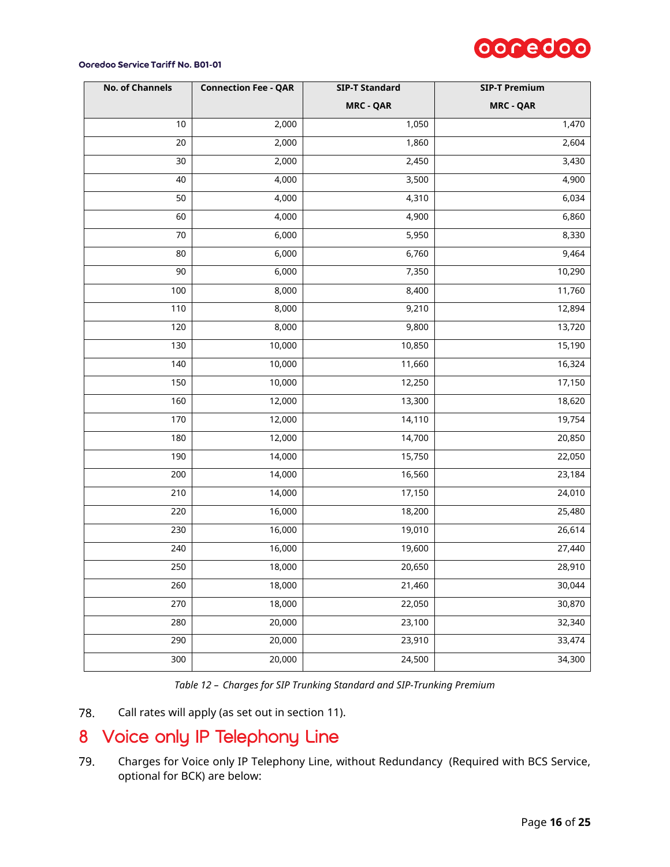

| <b>No. of Channels</b> | <b>Connection Fee - QAR</b> | <b>SIP-T Standard</b> | <b>SIP-T Premium</b> |
|------------------------|-----------------------------|-----------------------|----------------------|
|                        |                             | <b>MRC - QAR</b>      | <b>MRC - QAR</b>     |
| 10                     | 2,000                       | 1,050                 | 1,470                |
| 20                     | 2,000                       | 1,860                 | 2,604                |
| 30                     | 2,000                       | 2,450                 | 3,430                |
| 40                     | 4,000                       | 3,500                 | 4,900                |
| 50                     | 4,000                       | 4,310                 | 6,034                |
| 60                     | 4,000                       | 4,900                 | 6,860                |
| 70                     | 6,000                       | 5,950                 | 8,330                |
| 80                     | 6,000                       | 6,760                 | 9,464                |
| 90                     | 6,000                       | 7,350                 | 10,290               |
| 100                    | 8,000                       | 8,400                 | 11,760               |
| 110                    | 8,000                       | 9,210                 | 12,894               |
| 120                    | 8,000                       | 9,800                 | 13,720               |
| 130                    | 10,000                      | 10,850                | 15,190               |
| 140                    | 10,000                      | 11,660                | 16,324               |
| 150                    | 10,000                      | 12,250                | 17,150               |
| 160                    | 12,000                      | 13,300                | 18,620               |
| 170                    | 12,000                      | 14,110                | 19,754               |
| 180                    | 12,000                      | 14,700                | 20,850               |
| 190                    | 14,000                      | 15,750                | 22,050               |
| 200                    | 14,000                      | 16,560                | 23,184               |
| 210                    | 14,000                      | 17,150                | 24,010               |
| 220                    | 16,000                      | 18,200                | 25,480               |
| 230                    | 16,000                      | 19,010                | 26,614               |
| 240                    | 16,000                      | 19,600                | 27,440               |
| 250                    | 18,000                      | 20,650                | 28,910               |
| 260                    | 18,000                      | 21,460                | 30,044               |
| 270                    | 18,000                      | 22,050                | 30,870               |
| 280                    | 20,000                      | 23,100                | 32,340               |
| 290                    | 20,000                      | 23,910                | 33,474               |
| 300                    | 20,000                      | 24,500                | 34,300               |

*Table 12 – Charges for SIP Trunking Standard and SIP-Trunking Premium*

78. Call rates will apply (as set out in section [11\)](#page-17-1).

## <span id="page-15-0"></span>Voice only IP Telephony Line

Charges for Voice only IP Telephony Line, without Redundancy (Required with BCS Service, 79. optional for BCK) are below: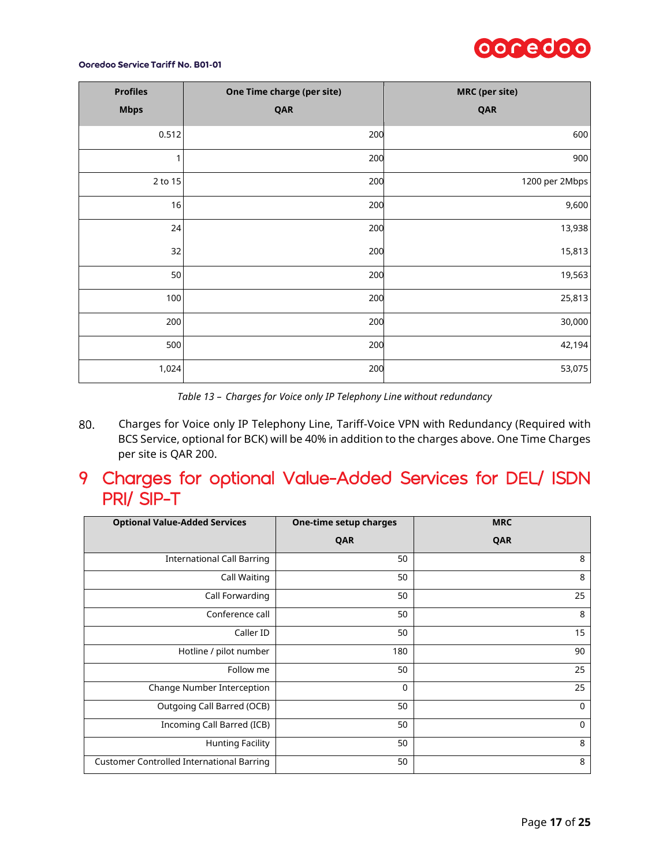

| <b>Profiles</b> | One Time charge (per site) | <b>MRC</b> (per site) |
|-----------------|----------------------------|-----------------------|
| <b>Mbps</b>     | QAR                        | QAR                   |
| 0.512           | 200                        | 600                   |
| 1               | 200                        | 900                   |
| 2 to 15         | 200                        | 1200 per 2Mbps        |
| 16              | 200                        | 9,600                 |
| 24              | 200                        | 13,938                |
| 32              | 200                        | 15,813                |
| 50              | 200                        | 19,563                |
| 100             | 200                        | 25,813                |
| 200             | 200                        | 30,000                |
| 500             | 200                        | 42,194                |
| 1,024           | 200                        | 53,075                |

*Table 13 – Charges for Voice only IP Telephony Line without redundancy*

80. Charges for Voice only IP Telephony Line, Tariff-Voice VPN with Redundancy (Required with BCS Service, optional for BCK) will be 40% in addition to the charges above. One Time Charges per site is QAR 200.

## <span id="page-16-0"></span>9 Charges for optional Value-Added Services for DEL/ ISDN PRI/ SIP-T

| <b>Optional Value-Added Services</b>             | One-time setup charges | <b>MRC</b>  |
|--------------------------------------------------|------------------------|-------------|
|                                                  | QAR                    | QAR         |
| <b>International Call Barring</b>                | 50                     | 8           |
| Call Waiting                                     | 50                     | 8           |
| Call Forwarding                                  | 50                     | 25          |
| Conference call                                  | 50                     | 8           |
| Caller ID                                        | 50                     | 15          |
| Hotline / pilot number                           | 180                    | 90          |
| Follow me                                        | 50                     | 25          |
| Change Number Interception                       | $\mathbf 0$            | 25          |
| Outgoing Call Barred (OCB)                       | 50                     | $\mathbf 0$ |
| Incoming Call Barred (ICB)                       | 50                     | $\mathbf 0$ |
| <b>Hunting Facility</b>                          | 50                     | 8           |
| <b>Customer Controlled International Barring</b> | 50                     | 8           |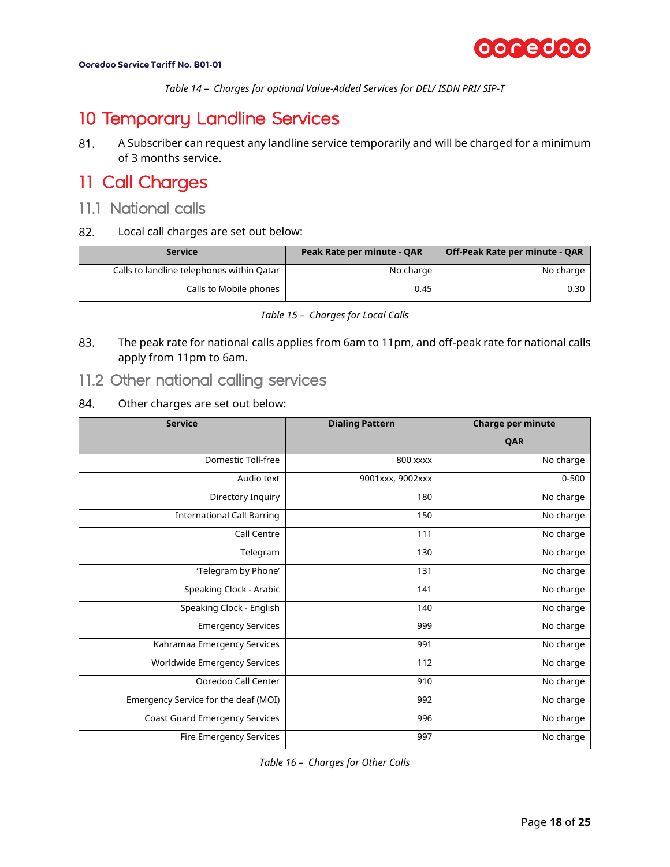

*Table 14 – Charges for optional Value-Added Services for DEL/ ISDN PRI/ SIP-T*

## <span id="page-17-0"></span>10 Temporary Landline Services

81. A Subscriber can request any landline service temporarily and will be charged for a minimum of 3 months service.

## <span id="page-17-1"></span>11 Call Charges

- <span id="page-17-2"></span>11.1 National calls
- 82. Local call charges are set out below:

| <b>Service</b>                            | Peak Rate per minute - QAR | Off-Peak Rate per minute - QAR |
|-------------------------------------------|----------------------------|--------------------------------|
| Calls to landline telephones within Qatar | No charge                  | No charge                      |
| Calls to Mobile phones                    | 0.45                       | 0.30                           |

| Table 15 - Charges for Local Calls |  |  |  |
|------------------------------------|--|--|--|
|------------------------------------|--|--|--|

<span id="page-17-4"></span>83. The peak rate for national calls applies from 6am to 11pm, and off-peak rate for national calls apply from 11pm to 6am.

### <span id="page-17-3"></span>11.2 Other national calling services

#### 84. Other charges are set out below:

| <b>Service</b>                       | <b>Dialing Pattern</b> | <b>Charge per minute</b> |
|--------------------------------------|------------------------|--------------------------|
|                                      |                        | QAR                      |
| <b>Domestic Toll-free</b>            | 800 xxxx               | No charge                |
| Audio text                           | 9001xxx, 9002xxx       | $0 - 500$                |
| Directory Inquiry                    | 180                    | No charge                |
| <b>International Call Barring</b>    | 150                    | No charge                |
| Call Centre                          | 111                    | No charge                |
| Telegram                             | 130                    | No charge                |
| 'Telegram by Phone'                  | 131                    | No charge                |
| Speaking Clock - Arabic              | 141                    | No charge                |
| Speaking Clock - English             | 140                    | No charge                |
| <b>Emergency Services</b>            | 999                    | No charge                |
| Kahramaa Emergency Services          | 991                    | No charge                |
| Worldwide Emergency Services         | 112                    | No charge                |
| Ooredoo Call Center                  | 910                    | No charge                |
| Emergency Service for the deaf (MOI) | 992                    | No charge                |
| Coast Guard Emergency Services       | 996                    | No charge                |
| <b>Fire Emergency Services</b>       | 997                    | No charge                |

<span id="page-17-5"></span>*Table 16 – Charges for Other Calls*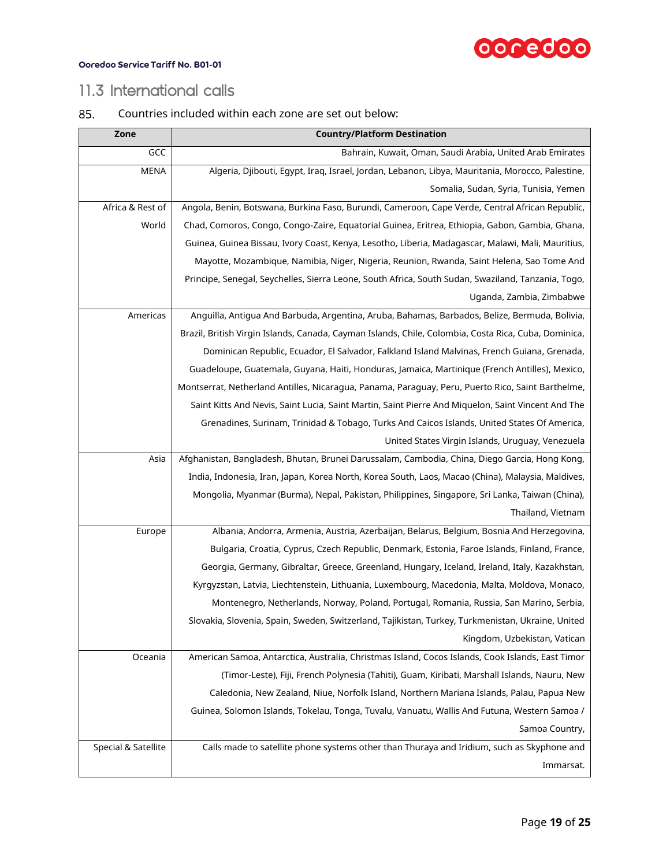

### <span id="page-18-0"></span>11.3 International calls

### 85. Countries included within each zone are set out below:

| Zone                | <b>Country/Platform Destination</b>                                                                  |
|---------------------|------------------------------------------------------------------------------------------------------|
| GCC                 | Bahrain, Kuwait, Oman, Saudi Arabia, United Arab Emirates                                            |
| <b>MENA</b>         | Algeria, Djibouti, Egypt, Iraq, Israel, Jordan, Lebanon, Libya, Mauritania, Morocco, Palestine,      |
|                     | Somalia, Sudan, Syria, Tunisia, Yemen                                                                |
| Africa & Rest of    | Angola, Benin, Botswana, Burkina Faso, Burundi, Cameroon, Cape Verde, Central African Republic,      |
| World               | Chad, Comoros, Congo, Congo-Zaire, Equatorial Guinea, Eritrea, Ethiopia, Gabon, Gambia, Ghana,       |
|                     | Guinea, Guinea Bissau, Ivory Coast, Kenya, Lesotho, Liberia, Madagascar, Malawi, Mali, Mauritius,    |
|                     | Mayotte, Mozambique, Namibia, Niger, Nigeria, Reunion, Rwanda, Saint Helena, Sao Tome And            |
|                     | Principe, Senegal, Seychelles, Sierra Leone, South Africa, South Sudan, Swaziland, Tanzania, Togo,   |
|                     | Uganda, Zambia, Zimbabwe                                                                             |
| Americas            | Anguilla, Antigua And Barbuda, Argentina, Aruba, Bahamas, Barbados, Belize, Bermuda, Bolivia,        |
|                     | Brazil, British Virgin Islands, Canada, Cayman Islands, Chile, Colombia, Costa Rica, Cuba, Dominica, |
|                     | Dominican Republic, Ecuador, El Salvador, Falkland Island Malvinas, French Guiana, Grenada,          |
|                     | Guadeloupe, Guatemala, Guyana, Haiti, Honduras, Jamaica, Martinique (French Antilles), Mexico,       |
|                     | Montserrat, Netherland Antilles, Nicaragua, Panama, Paraguay, Peru, Puerto Rico, Saint Barthelme,    |
|                     | Saint Kitts And Nevis, Saint Lucia, Saint Martin, Saint Pierre And Miquelon, Saint Vincent And The   |
|                     | Grenadines, Surinam, Trinidad & Tobago, Turks And Caicos Islands, United States Of America,          |
|                     | United States Virgin Islands, Uruguay, Venezuela                                                     |
| Asia                | Afghanistan, Bangladesh, Bhutan, Brunei Darussalam, Cambodia, China, Diego Garcia, Hong Kong,        |
|                     | India, Indonesia, Iran, Japan, Korea North, Korea South, Laos, Macao (China), Malaysia, Maldives,    |
|                     | Mongolia, Myanmar (Burma), Nepal, Pakistan, Philippines, Singapore, Sri Lanka, Taiwan (China),       |
|                     | Thailand, Vietnam                                                                                    |
| Europe              | Albania, Andorra, Armenia, Austria, Azerbaijan, Belarus, Belgium, Bosnia And Herzegovina,            |
|                     | Bulgaria, Croatia, Cyprus, Czech Republic, Denmark, Estonia, Faroe Islands, Finland, France,         |
|                     | Georgia, Germany, Gibraltar, Greece, Greenland, Hungary, Iceland, Ireland, Italy, Kazakhstan,        |
|                     | Kyrgyzstan, Latvia, Liechtenstein, Lithuania, Luxembourg, Macedonia, Malta, Moldova, Monaco,         |
|                     | Montenegro, Netherlands, Norway, Poland, Portugal, Romania, Russia, San Marino, Serbia,              |
|                     | Slovakia, Slovenia, Spain, Sweden, Switzerland, Tajikistan, Turkey, Turkmenistan, Ukraine, United    |
|                     | Kingdom, Uzbekistan, Vatican                                                                         |
| Oceania             | American Samoa, Antarctica, Australia, Christmas Island, Cocos Islands, Cook Islands, East Timor     |
|                     | (Timor-Leste), Fiji, French Polynesia (Tahiti), Guam, Kiribati, Marshall Islands, Nauru, New         |
|                     | Caledonia, New Zealand, Niue, Norfolk Island, Northern Mariana Islands, Palau, Papua New             |
|                     | Guinea, Solomon Islands, Tokelau, Tonga, Tuvalu, Vanuatu, Wallis And Futuna, Western Samoa /         |
|                     | Samoa Country,                                                                                       |
| Special & Satellite | Calls made to satellite phone systems other than Thuraya and Iridium, such as Skyphone and           |
|                     | Immarsat.                                                                                            |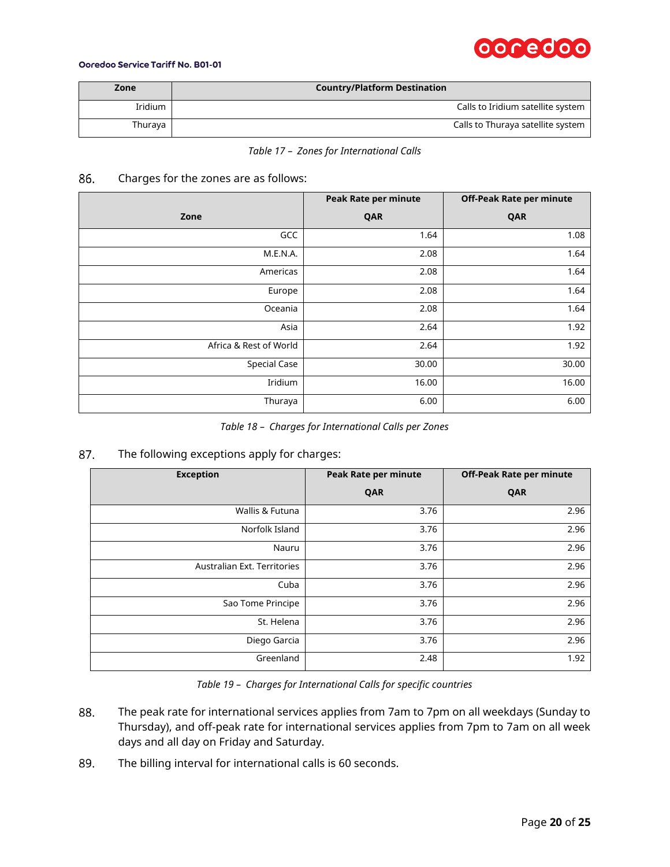# ooredoo

#### Ooredoo Service Tariff No. B01-01

| Zone    | <b>Country/Platform Destination</b> |
|---------|-------------------------------------|
| Iridium | Calls to Iridium satellite system   |
| Thuraya | Calls to Thuraya satellite system   |

*Table 17 – Zones for International Calls*

#### 86. Charges for the zones are as follows:

|                        | <b>Peak Rate per minute</b> | <b>Off-Peak Rate per minute</b> |
|------------------------|-----------------------------|---------------------------------|
| Zone                   | QAR                         | QAR                             |
| GCC                    | 1.64                        | 1.08                            |
| M.E.N.A.               | 2.08                        | 1.64                            |
| Americas               | 2.08                        | 1.64                            |
| Europe                 | 2.08                        | 1.64                            |
| Oceania                | 2.08                        | 1.64                            |
| Asia                   | 2.64                        | 1.92                            |
| Africa & Rest of World | 2.64                        | 1.92                            |
| <b>Special Case</b>    | 30.00                       | 30.00                           |
| Iridium                | 16.00                       | 16.00                           |
| Thuraya                | 6.00                        | 6.00                            |

*Table 18 – Charges for International Calls per Zones*

#### The following exceptions apply for charges: 87.

| <b>Exception</b>            | Peak Rate per minute | <b>Off-Peak Rate per minute</b> |  |
|-----------------------------|----------------------|---------------------------------|--|
|                             | QAR                  | QAR                             |  |
| Wallis & Futuna             | 3.76                 | 2.96                            |  |
| Norfolk Island              | 3.76                 | 2.96                            |  |
| Nauru                       | 3.76                 | 2.96                            |  |
| Australian Ext. Territories | 3.76                 | 2.96                            |  |
| Cuba                        | 3.76                 | 2.96                            |  |
| Sao Tome Principe           | 3.76                 | 2.96                            |  |
| St. Helena                  | 3.76                 | 2.96                            |  |
| Diego Garcia                | 3.76                 | 2.96                            |  |
| Greenland                   | 2.48                 | 1.92                            |  |

*Table 19 – Charges for International Calls for specific countries*

- 88. The peak rate for international services applies from 7am to 7pm on all weekdays (Sunday to Thursday), and off-peak rate for international services applies from 7pm to 7am on all week days and all day on Friday and Saturday.
- 89. The billing interval for international calls is 60 seconds.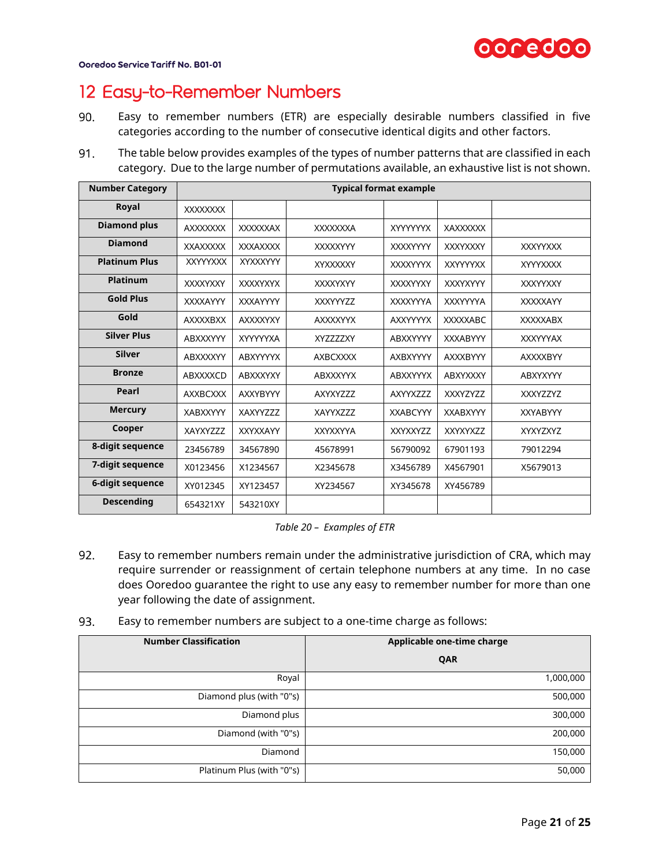

## <span id="page-20-0"></span>12 Easy-to-Remember Numbers

- 90. Easy to remember numbers (ETR) are especially desirable numbers classified in five categories according to the number of consecutive identical digits and other factors.
- 91. The table below provides examples of the types of number patterns that are classified in each category. Due to the large number of permutations available, an exhaustive list is not shown.

| <b>Number Category</b> | <b>Typical format example</b> |                 |                 |                 |                 |                 |
|------------------------|-------------------------------|-----------------|-----------------|-----------------|-----------------|-----------------|
| Royal                  | <b>XXXXXXXX</b>               |                 |                 |                 |                 |                 |
| <b>Diamond plus</b>    | <b>AXXXXXXX</b>               | <b>XXXXXXAX</b> | <b>XXXXXXXA</b> | <b>XYYYYYYX</b> | <b>XAXXXXXX</b> |                 |
| <b>Diamond</b>         | <b>XXAXXXXX</b>               | <b>XXXAXXXX</b> | XXXXXYYY        | <b>XXXXYYYY</b> | <b>XXXYXXXY</b> | <b>XXXYYXXX</b> |
| <b>Platinum Plus</b>   | <b>XXYYYXXX</b>               | XYXXXYYY        | XYXXXXXY        | <b>XXXXYYYX</b> | <b>XXYYYYXX</b> | <b>XYYYXXXX</b> |
| <b>Platinum</b>        | XXXXYXXY                      | <b>XXXXYXYX</b> | <b>XXXXYXYY</b> | <b>XXXXYYXY</b> | <b>XXXYXYYY</b> | <b>XXXYYXXY</b> |
| <b>Gold Plus</b>       | <b>XXXXAYYY</b>               | <b>XXXAYYYY</b> | <b>XXXYYYZZ</b> | <b>XXXXYYYA</b> | <b>XXXYYYYA</b> | <b>XXXXXAYY</b> |
| Gold                   | <b>AXXXXBXX</b>               | <b>AXXXXYXY</b> | <b>AXXXXYYX</b> | <b>AXXYYYYX</b> | <b>XXXXXABC</b> | <b>XXXXXABX</b> |
| <b>Silver Plus</b>     | <b>ABXXXYYY</b>               | XYYYYYXA        | XYZZZZXY        | ABXXYYYY        | <b>XXXABYYY</b> | <b>XXXYYYAX</b> |
| <b>Silver</b>          | ABXXXXYY                      | ABXYYYYX        | <b>AXBCXXXX</b> | AXBXYYYY        | <b>AXXXBYYY</b> | <b>AXXXXBYY</b> |
| <b>Bronze</b>          | ABXXXXCD                      | ABXXXYXY        | <b>ABXXXYYX</b> | <b>ABXXYYYX</b> | ABXYXXXY        | ABXYXYYY        |
| Pearl                  | <b>AXXBCXXX</b>               | <b>AXXYBYYY</b> | AXYXYZZZ        | AXYYXZZZ        | <b>XXXYZYZZ</b> | <b>XXXYZZYZ</b> |
| <b>Mercury</b>         | <b>XABXXYYY</b>               | XAXYYZZZ        | XAYYXZZZ        | <b>XXABCYYY</b> | <b>XXABXYYY</b> | <b>XXYABYYY</b> |
| Cooper                 | XAYXYZZZ                      | <b>XXYXXAYY</b> | <b>XXYXXYYA</b> | <b>XXYXXYZZ</b> | XXYXYXZZ        | <b>XYXYZXYZ</b> |
| 8-digit sequence       | 23456789                      | 34567890        | 45678991        | 56790092        | 67901193        | 79012294        |
| 7-digit sequence       | X0123456                      | X1234567        | X2345678        | X3456789        | X4567901        | X5679013        |
| 6-digit sequence       | XY012345                      | XY123457        | XY234567        | XY345678        | XY456789        |                 |
| <b>Descending</b>      | 654321XY                      | 543210XY        |                 |                 |                 |                 |

*Table 20 – Examples of ETR*

- 92. Easy to remember numbers remain under the administrative jurisdiction of CRA, which may require surrender or reassignment of certain telephone numbers at any time. In no case does Ooredoo guarantee the right to use any easy to remember number for more than one year following the date of assignment.
- 93. Easy to remember numbers are subject to a one-time charge as follows:

| <b>Number Classification</b> | Applicable one-time charge |
|------------------------------|----------------------------|
|                              | QAR                        |
| Royal                        | 1,000,000                  |
| Diamond plus (with "0"s)     | 500,000                    |
| Diamond plus                 | 300,000                    |
| Diamond (with "0"s)          | 200,000                    |
| Diamond                      | 150,000                    |
| Platinum Plus (with "0"s)    | 50,000                     |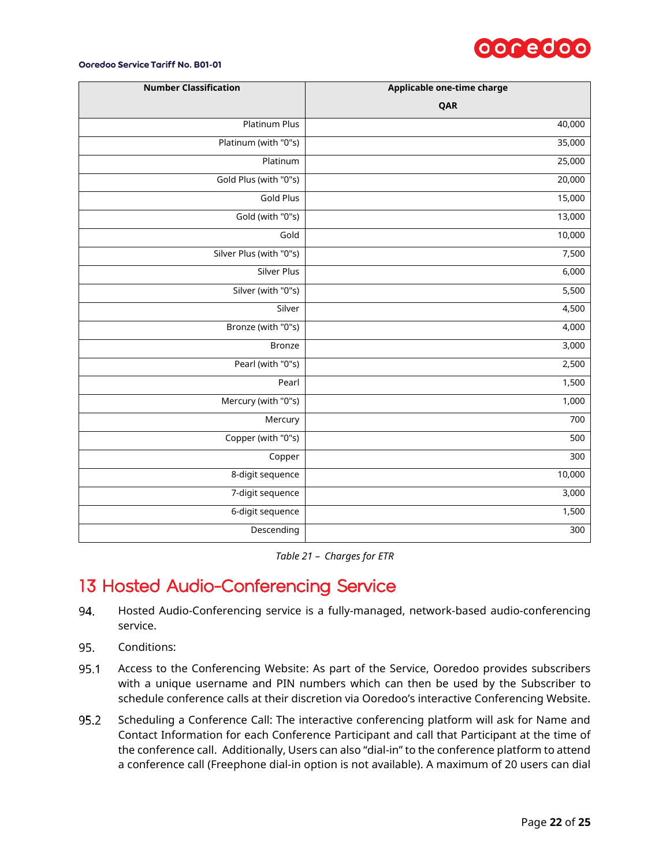

| <b>Number Classification</b> | Applicable one-time charge |
|------------------------------|----------------------------|
|                              | QAR                        |
| <b>Platinum Plus</b>         | 40,000                     |
| Platinum (with "0"s)         | 35,000                     |
| Platinum                     | 25,000                     |
| Gold Plus (with "0"s)        | 20,000                     |
| <b>Gold Plus</b>             | 15,000                     |
| Gold (with "0"s)             | 13,000                     |
| Gold                         | 10,000                     |
| Silver Plus (with "0"s)      | 7,500                      |
| <b>Silver Plus</b>           | 6,000                      |
| Silver (with "0"s)           | $\frac{1}{5,500}$          |
| Silver                       | 4,500                      |
| Bronze (with "0"s)           | 4,000                      |
| <b>Bronze</b>                | 3,000                      |
| Pearl (with "0"s)            | 2,500                      |
| Pearl                        | 1,500                      |
| Mercury (with "0"s)          | 1,000                      |
| Mercury                      | 700                        |
| Copper (with "0"s)           | 500                        |
| Copper                       | 300                        |
| 8-digit sequence             | 10,000                     |
| 7-digit sequence             | 3,000                      |
| 6-digit sequence             | 1,500                      |
| Descending                   | 300                        |

*Table 21 – Charges for ETR*

## <span id="page-21-0"></span>13 Hosted Audio-Conferencing Service

- 94. Hosted Audio-Conferencing service is a fully-managed, network-based audio-conferencing service.
- 95. Conditions:
- 95.1 Access to the Conferencing Website: As part of the Service, Ooredoo provides subscribers with a unique username and PIN numbers which can then be used by the Subscriber to schedule conference calls at their discretion via Ooredoo's interactive Conferencing Website.
- 95.2 Scheduling a Conference Call: The interactive conferencing platform will ask for Name and Contact Information for each Conference Participant and call that Participant at the time of the conference call. Additionally, Users can also "dial-in" to the conference platform to attend a conference call (Freephone dial-in option is not available). A maximum of 20 users can dial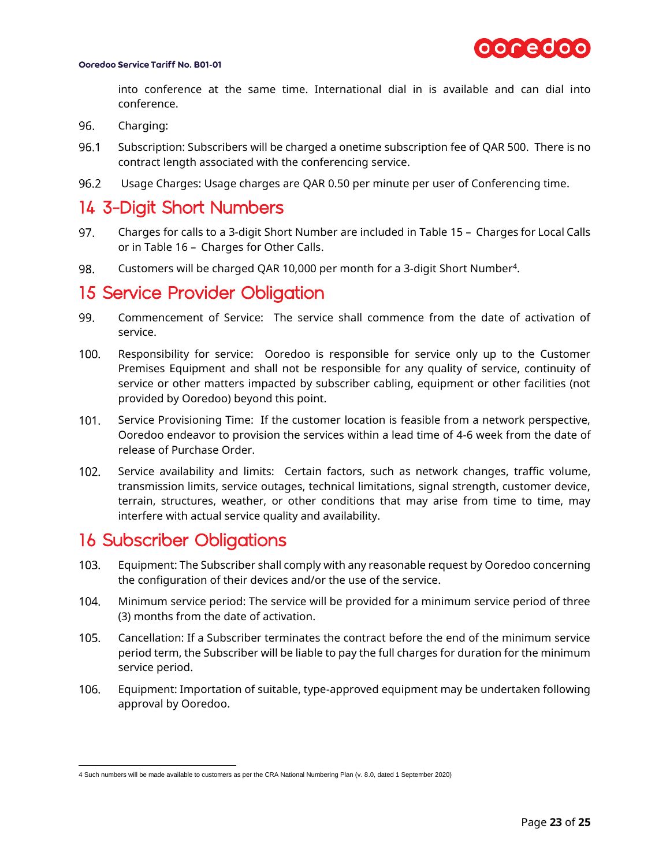

into conference at the same time. International dial in is available and can dial into conference.

- 96. Charging:
- 96.1 Subscription: Subscribers will be charged a onetime subscription fee of QAR 500. There is no contract length associated with the conferencing service.
- Usage Charges: Usage charges are QAR 0.50 per minute per user of Conferencing time. 96.2

## <span id="page-22-0"></span>14 3-Digit Short Numbers

- 97. Charges for calls to a 3-digit Short Number are included in Table 15 – [Charges for Local Calls](#page-17-4) or in Table 16 – [Charges for Other Calls.](#page-17-5)
- 98. Customers will be charged QAR 10,000 per month for a 3-digit Short Number<sup>4</sup>.

### <span id="page-22-1"></span>15 Service Provider Obligation

- 99. Commencement of Service: The service shall commence from the date of activation of service.
- $100.$ Responsibility for service: Ooredoo is responsible for service only up to the Customer Premises Equipment and shall not be responsible for any quality of service, continuity of service or other matters impacted by subscriber cabling, equipment or other facilities (not provided by Ooredoo) beyond this point.
- $101.$ Service Provisioning Time: If the customer location is feasible from a network perspective, Ooredoo endeavor to provision the services within a lead time of 4-6 week from the date of release of Purchase Order.
- $102.$ Service availability and limits: Certain factors, such as network changes, traffic volume, transmission limits, service outages, technical limitations, signal strength, customer device, terrain, structures, weather, or other conditions that may arise from time to time, may interfere with actual service quality and availability.

## <span id="page-22-2"></span>16 Subscriber Obligations

- $103.$ Equipment: The Subscriber shall comply with any reasonable request by Ooredoo concerning the configuration of their devices and/or the use of the service.
- 104. Minimum service period: The service will be provided for a minimum service period of three (3) months from the date of activation.
- $105.$ Cancellation: If a Subscriber terminates the contract before the end of the minimum service period term, the Subscriber will be liable to pay the full charges for duration for the minimum service period.
- $106.$ Equipment: Importation of suitable, type-approved equipment may be undertaken following approval by Ooredoo.

 4 Such numbers will be made available to customers as per the CRA National Numbering Plan (v. 8.0, dated 1 September 2020)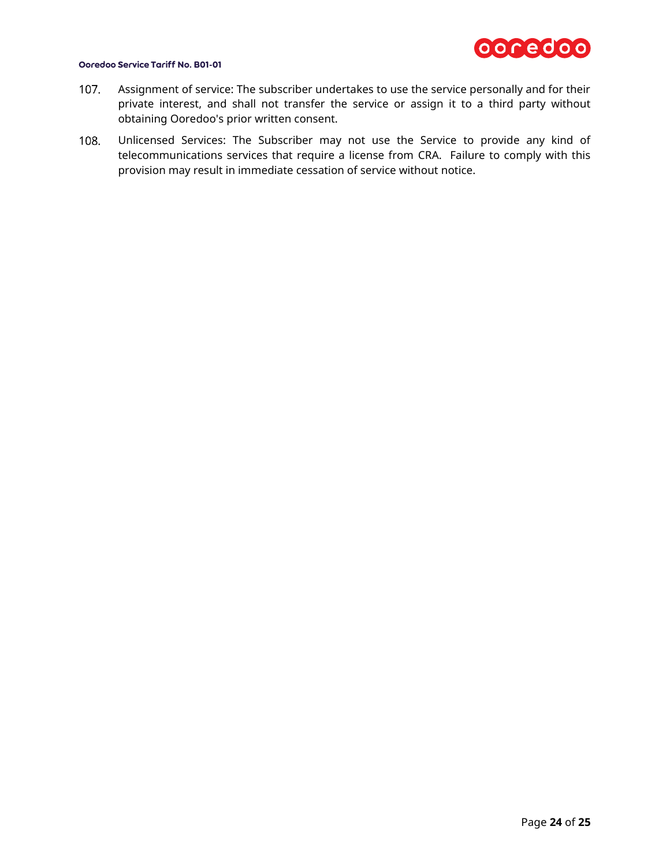

- Assignment of service: The subscriber undertakes to use the service personally and for their  $107.$ private interest, and shall not transfer the service or assign it to a third party without obtaining Ooredoo's prior written consent.
- $108.$ Unlicensed Services: The Subscriber may not use the Service to provide any kind of telecommunications services that require a license from CRA. Failure to comply with this provision may result in immediate cessation of service without notice.